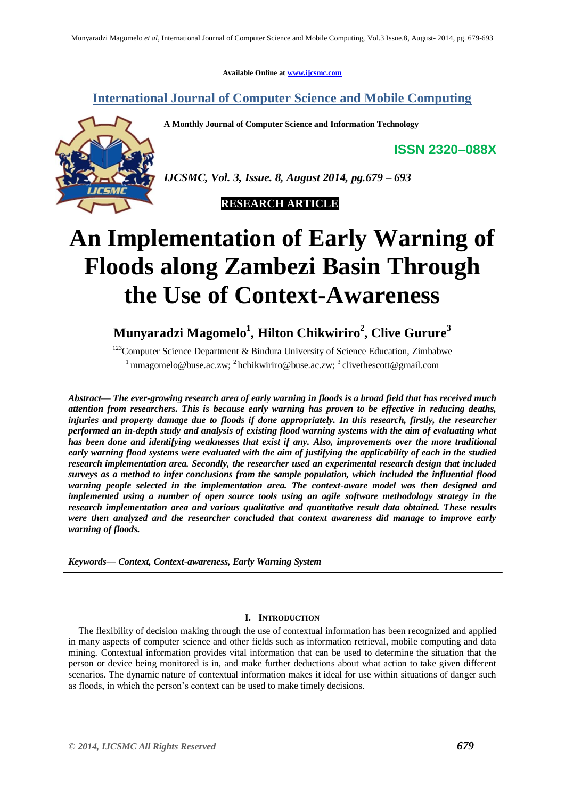**Available Online at www.ijcsmc.com**

# **International Journal of Computer Science and Mobile Computing**

**A Monthly Journal of Computer Science and Information Technology**

**ISSN 2320–088X**



*IJCSMC, Vol. 3, Issue. 8, August 2014, pg.679 – 693*



# **An Implementation of Early Warning of Floods along Zambezi Basin Through the Use of Context-Awareness**

# **Munyaradzi Magomelo<sup>1</sup> , Hilton Chikwiriro<sup>2</sup> , Clive Gurure<sup>3</sup>**

<sup>123</sup>Computer Science Department & Bindura University of Science Education, Zimbabwe <sup>1</sup> mmagomelo@buse.ac.zw; <sup>2</sup> hchikwiriro@buse.ac.zw; <sup>3</sup> clivethescott@gmail.com

*Abstract— The ever-growing research area of early warning in floods is a broad field that has received much attention from researchers. This is because early warning has proven to be effective in reducing deaths, injuries and property damage due to floods if done appropriately. In this research, firstly, the researcher performed an in-depth study and analysis of existing flood warning systems with the aim of evaluating what has been done and identifying weaknesses that exist if any. Also, improvements over the more traditional early warning flood systems were evaluated with the aim of justifying the applicability of each in the studied research implementation area. Secondly, the researcher used an experimental research design that included surveys as a method to infer conclusions from the sample population, which included the influential flood warning people selected in the implementation area. The context-aware model was then designed and implemented using a number of open source tools using an agile software methodology strategy in the research implementation area and various qualitative and quantitative result data obtained. These results were then analyzed and the researcher concluded that context awareness did manage to improve early warning of floods.*

*Keywords— Context, Context-awareness, Early Warning System*

# **I. INTRODUCTION**

The flexibility of decision making through the use of contextual information has been recognized and applied in many aspects of computer science and other fields such as information retrieval, mobile computing and data mining. Contextual information provides vital information that can be used to determine the situation that the person or device being monitored is in, and make further deductions about what action to take given different scenarios. The dynamic nature of contextual information makes it ideal for use within situations of danger such as floods, in which the person's context can be used to make timely decisions.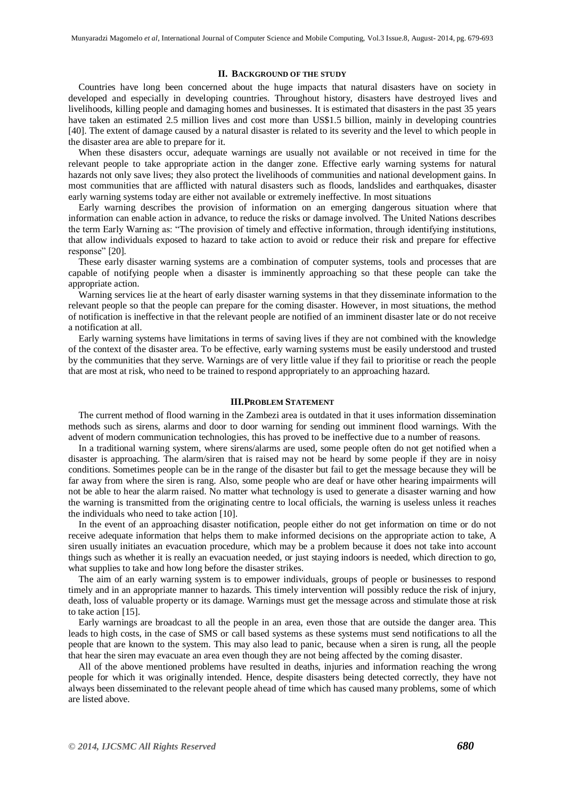## **II. BACKGROUND OF THE STUDY**

Countries have long been concerned about the huge impacts that natural disasters have on society in developed and especially in developing countries. Throughout history, disasters have destroyed lives and livelihoods, killing people and damaging homes and businesses. It is estimated that disasters in the past 35 years have taken an estimated 2.5 million lives and cost more than US\$1.5 billion, mainly in developing countries [40]. The extent of damage caused by a natural disaster is related to its severity and the level to which people in the disaster area are able to prepare for it.

When these disasters occur, adequate warnings are usually not available or not received in time for the relevant people to take appropriate action in the danger zone. Effective early warning systems for natural hazards not only save lives; they also protect the livelihoods of communities and national development gains. In most communities that are afflicted with natural disasters such as floods, landslides and earthquakes, disaster early warning systems today are either not available or extremely ineffective. In most situations

Early warning describes the provision of information on an emerging dangerous situation where that information can enable action in advance, to reduce the risks or damage involved. The United Nations describes the term Early Warning as: "The provision of timely and effective information, through identifying institutions, that allow individuals exposed to hazard to take action to avoid or reduce their risk and prepare for effective response" [20].

These early disaster warning systems are a combination of computer systems, tools and processes that are capable of notifying people when a disaster is imminently approaching so that these people can take the appropriate action.

Warning services lie at the heart of early disaster warning systems in that they disseminate information to the relevant people so that the people can prepare for the coming disaster. However, in most situations, the method of notification is ineffective in that the relevant people are notified of an imminent disaster late or do not receive a notification at all.

Early warning systems have limitations in terms of saving lives if they are not combined with the knowledge of the context of the disaster area. To be effective, early warning systems must be easily understood and trusted by the communities that they serve. Warnings are of very little value if they fail to prioritise or reach the people that are most at risk, who need to be trained to respond appropriately to an approaching hazard.

#### **III.PROBLEM STATEMENT**

The current method of flood warning in the Zambezi area is outdated in that it uses information dissemination methods such as sirens, alarms and door to door warning for sending out imminent flood warnings. With the advent of modern communication technologies, this has proved to be ineffective due to a number of reasons.

In a traditional warning system, where sirens/alarms are used, some people often do not get notified when a disaster is approaching. The alarm/siren that is raised may not be heard by some people if they are in noisy conditions. Sometimes people can be in the range of the disaster but fail to get the message because they will be far away from where the siren is rang. Also, some people who are deaf or have other hearing impairments will not be able to hear the alarm raised. No matter what technology is used to generate a disaster warning and how the warning is transmitted from the originating centre to local officials, the warning is useless unless it reaches the individuals who need to take action [10].

In the event of an approaching disaster notification, people either do not get information on time or do not receive adequate information that helps them to make informed decisions on the appropriate action to take, A siren usually initiates an evacuation procedure, which may be a problem because it does not take into account things such as whether it is really an evacuation needed, or just staying indoors is needed, which direction to go, what supplies to take and how long before the disaster strikes.

The aim of an early warning system is to empower individuals, groups of people or businesses to respond timely and in an appropriate manner to hazards. This timely intervention will possibly reduce the risk of injury, death, loss of valuable property or its damage. Warnings must get the message across and stimulate those at risk to take action [15].

Early warnings are broadcast to all the people in an area, even those that are outside the danger area. This leads to high costs, in the case of SMS or call based systems as these systems must send notifications to all the people that are known to the system. This may also lead to panic, because when a siren is rung, all the people that hear the siren may evacuate an area even though they are not being affected by the coming disaster.

All of the above mentioned problems have resulted in deaths, injuries and information reaching the wrong people for which it was originally intended. Hence, despite disasters being detected correctly, they have not always been disseminated to the relevant people ahead of time which has caused many problems, some of which are listed above.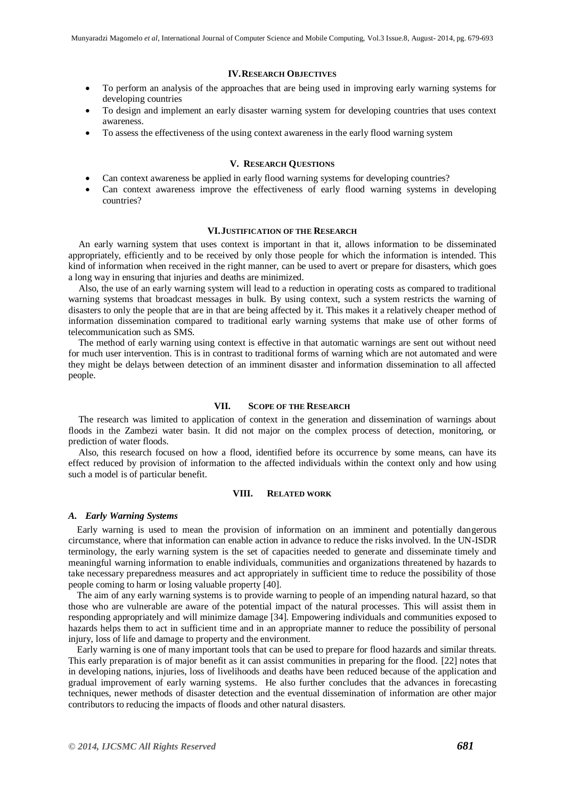# **IV.RESEARCH OBJECTIVES**

- To perform an analysis of the approaches that are being used in improving early warning systems for developing countries
- To design and implement an early disaster warning system for developing countries that uses context awareness.
- To assess the effectiveness of the using context awareness in the early flood warning system

# **V. RESEARCH QUESTIONS**

- Can context awareness be applied in early flood warning systems for developing countries?
- Can context awareness improve the effectiveness of early flood warning systems in developing countries?

#### **VI.JUSTIFICATION OF THE RESEARCH**

An early warning system that uses context is important in that it, allows information to be disseminated appropriately, efficiently and to be received by only those people for which the information is intended. This kind of information when received in the right manner, can be used to avert or prepare for disasters, which goes a long way in ensuring that injuries and deaths are minimized.

Also, the use of an early warning system will lead to a reduction in operating costs as compared to traditional warning systems that broadcast messages in bulk. By using context, such a system restricts the warning of disasters to only the people that are in that are being affected by it. This makes it a relatively cheaper method of information dissemination compared to traditional early warning systems that make use of other forms of telecommunication such as SMS.

The method of early warning using context is effective in that automatic warnings are sent out without need for much user intervention. This is in contrast to traditional forms of warning which are not automated and were they might be delays between detection of an imminent disaster and information dissemination to all affected people.

# **VII. SCOPE OF THE RESEARCH**

The research was limited to application of context in the generation and dissemination of warnings about floods in the Zambezi water basin. It did not major on the complex process of detection, monitoring, or prediction of water floods.

Also, this research focused on how a flood, identified before its occurrence by some means, can have its effect reduced by provision of information to the affected individuals within the context only and how using such a model is of particular benefit.

# **VIII. RELATED WORK**

#### *A. Early Warning Systems*

Early warning is used to mean the provision of information on an imminent and potentially dangerous circumstance, where that information can enable action in advance to reduce the risks involved. In the UN-ISDR terminology, the early warning system is the set of capacities needed to generate and disseminate timely and meaningful warning information to enable individuals, communities and organizations threatened by hazards to take necessary preparedness measures and act appropriately in sufficient time to reduce the possibility of those people coming to harm or losing valuable property [40].

The aim of any early warning systems is to provide warning to people of an impending natural hazard, so that those who are vulnerable are aware of the potential impact of the natural processes. This will assist them in responding appropriately and will minimize damage [34]. Empowering individuals and communities exposed to hazards helps them to act in sufficient time and in an appropriate manner to reduce the possibility of personal injury, loss of life and damage to property and the environment.

Early warning is one of many important tools that can be used to prepare for flood hazards and similar threats. This early preparation is of major benefit as it can assist communities in preparing for the flood. [22] notes that in developing nations, injuries, loss of livelihoods and deaths have been reduced because of the application and gradual improvement of early warning systems. He also further concludes that the advances in forecasting techniques, newer methods of disaster detection and the eventual dissemination of information are other major contributors to reducing the impacts of floods and other natural disasters.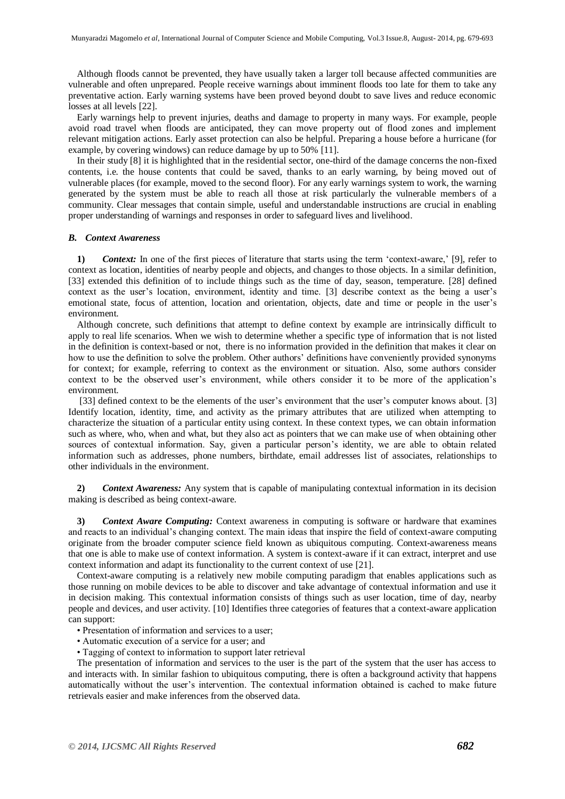Although floods cannot be prevented, they have usually taken a larger toll because affected communities are vulnerable and often unprepared. People receive warnings about imminent floods too late for them to take any preventative action. Early warning systems have been proved beyond doubt to save lives and reduce economic losses at all levels [22].

Early warnings help to prevent injuries, deaths and damage to property in many ways. For example, people avoid road travel when floods are anticipated, they can move property out of flood zones and implement relevant mitigation actions. Early asset protection can also be helpful. Preparing a house before a hurricane (for example, by covering windows) can reduce damage by up to 50% [11].

In their study [8] it is highlighted that in the residential sector, one-third of the damage concerns the non-fixed contents, i.e. the house contents that could be saved, thanks to an early warning, by being moved out of vulnerable places (for example, moved to the second floor). For any early warnings system to work, the warning generated by the system must be able to reach all those at risk particularly the vulnerable members of a community. Clear messages that contain simple, useful and understandable instructions are crucial in enabling proper understanding of warnings and responses in order to safeguard lives and livelihood.

#### *B. Context Awareness*

1) *Context:* In one of the first pieces of literature that starts using the term 'context-aware,' [9], refer to context as location, identities of nearby people and objects, and changes to those objects. In a similar definition, [33] extended this definition of to include things such as the time of day, season, temperature. [28] defined context as the user's location, environment, identity and time. [3] describe context as the being a user's emotional state, focus of attention, location and orientation, objects, date and time or people in the user's environment.

Although concrete, such definitions that attempt to define context by example are intrinsically difficult to apply to real life scenarios. When we wish to determine whether a specific type of information that is not listed in the definition is context-based or not, there is no information provided in the definition that makes it clear on how to use the definition to solve the problem. Other authors' definitions have conveniently provided synonyms for context; for example, referring to context as the environment or situation. Also, some authors consider context to be the observed user's environment, while others consider it to be more of the application's environment.

[33] defined context to be the elements of the user's environment that the user's computer knows about. [3] Identify location, identity, time, and activity as the primary attributes that are utilized when attempting to characterize the situation of a particular entity using context. In these context types, we can obtain information such as where, who, when and what, but they also act as pointers that we can make use of when obtaining other sources of contextual information. Say, given a particular person's identity, we are able to obtain related information such as addresses, phone numbers, birthdate, email addresses list of associates, relationships to other individuals in the environment.

**2)** *Context Awareness:* Any system that is capable of manipulating contextual information in its decision making is described as being context-aware.

**3)** *Context Aware Computing:* Context awareness in computing is software or hardware that examines and reacts to an individual's changing context. The main ideas that inspire the field of context-aware computing originate from the broader computer science field known as ubiquitous computing. Context-awareness means that one is able to make use of context information. A system is context-aware if it can extract, interpret and use context information and adapt its functionality to the current context of use [21].

Context-aware computing is a relatively new mobile computing paradigm that enables applications such as those running on mobile devices to be able to discover and take advantage of contextual information and use it in decision making. This contextual information consists of things such as user location, time of day, nearby people and devices, and user activity. [10] Identifies three categories of features that a context-aware application can support:

- Presentation of information and services to a user;
- Automatic execution of a service for a user; and
- Tagging of context to information to support later retrieval

The presentation of information and services to the user is the part of the system that the user has access to and interacts with. In similar fashion to ubiquitous computing, there is often a background activity that happens automatically without the user's intervention. The contextual information obtained is cached to make future retrievals easier and make inferences from the observed data.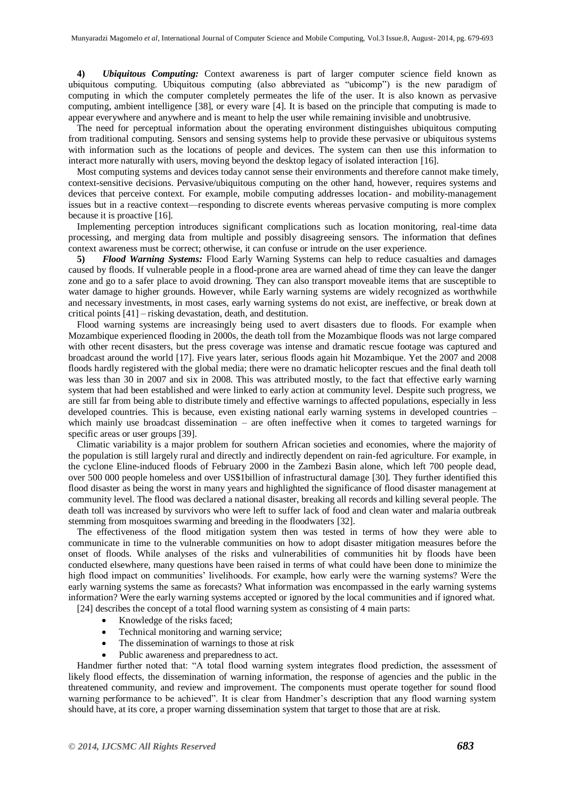**4)** *Ubiquitous Computing:* Context awareness is part of larger computer science field known as ubiquitous computing. Ubiquitous computing (also abbreviated as "ubicomp") is the new paradigm of computing in which the computer completely permeates the life of the user. It is also known as pervasive computing, ambient intelligence [38], or every ware [4]. It is based on the principle that computing is made to appear everywhere and anywhere and is meant to help the user while remaining invisible and unobtrusive.

The need for perceptual information about the operating environment distinguishes ubiquitous computing from traditional computing. Sensors and sensing systems help to provide these pervasive or ubiquitous systems with information such as the locations of people and devices. The system can then use this information to interact more naturally with users, moving beyond the desktop legacy of isolated interaction [16].

Most computing systems and devices today cannot sense their environments and therefore cannot make timely, context-sensitive decisions. Pervasive/ubiquitous computing on the other hand, however, requires systems and devices that perceive context. For example, mobile computing addresses location- and mobility-management issues but in a reactive context—responding to discrete events whereas pervasive computing is more complex because it is proactive [16].

Implementing perception introduces significant complications such as location monitoring, real-time data processing, and merging data from multiple and possibly disagreeing sensors. The information that defines context awareness must be correct; otherwise, it can confuse or intrude on the user experience.

**5)** *Flood Warning Systems:* Flood Early Warning Systems can help to reduce casualties and damages caused by floods. If vulnerable people in a flood-prone area are warned ahead of time they can leave the danger zone and go to a safer place to avoid drowning. They can also transport moveable items that are susceptible to water damage to higher grounds. However, while Early warning systems are widely recognized as worthwhile and necessary investments, in most cases, early warning systems do not exist, are ineffective, or break down at critical points [41] – risking devastation, death, and destitution.

Flood warning systems are increasingly being used to avert disasters due to floods. For example when Mozambique experienced flooding in 2000s, the death toll from the Mozambique floods was not large compared with other recent disasters, but the press coverage was intense and dramatic rescue footage was captured and broadcast around the world [17]. Five years later, serious floods again hit Mozambique. Yet the 2007 and 2008 floods hardly registered with the global media; there were no dramatic helicopter rescues and the final death toll was less than 30 in 2007 and six in 2008. This was attributed mostly, to the fact that effective early warning system that had been established and were linked to early action at community level. Despite such progress, we are still far from being able to distribute timely and effective warnings to affected populations, especially in less developed countries. This is because, even existing national early warning systems in developed countries – which mainly use broadcast dissemination – are often ineffective when it comes to targeted warnings for specific areas or user groups [39].

Climatic variability is a major problem for southern African societies and economies, where the majority of the population is still largely rural and directly and indirectly dependent on rain-fed agriculture. For example, in the cyclone Eline-induced floods of February 2000 in the Zambezi Basin alone, which left 700 people dead, over 500 000 people homeless and over US\$1billion of infrastructural damage [30]. They further identified this flood disaster as being the worst in many years and highlighted the significance of flood disaster management at community level. The flood was declared a national disaster, breaking all records and killing several people. The death toll was increased by survivors who were left to suffer lack of food and clean water and malaria outbreak stemming from mosquitoes swarming and breeding in the floodwaters [32].

The effectiveness of the flood mitigation system then was tested in terms of how they were able to communicate in time to the vulnerable communities on how to adopt disaster mitigation measures before the onset of floods. While analyses of the risks and vulnerabilities of communities hit by floods have been conducted elsewhere, many questions have been raised in terms of what could have been done to minimize the high flood impact on communities' livelihoods. For example, how early were the warning systems? Were the early warning systems the same as forecasts? What information was encompassed in the early warning systems information? Were the early warning systems accepted or ignored by the local communities and if ignored what.

[24] describes the concept of a total flood warning system as consisting of 4 main parts:

- Knowledge of the risks faced;
- Technical monitoring and warning service;
- The dissemination of warnings to those at risk
- Public awareness and preparedness to act.

Handmer further noted that: "A total flood warning system integrates flood prediction, the assessment of likely flood effects, the dissemination of warning information, the response of agencies and the public in the threatened community, and review and improvement. The components must operate together for sound flood warning performance to be achieved". It is clear from Handmer's description that any flood warning system should have, at its core, a proper warning dissemination system that target to those that are at risk.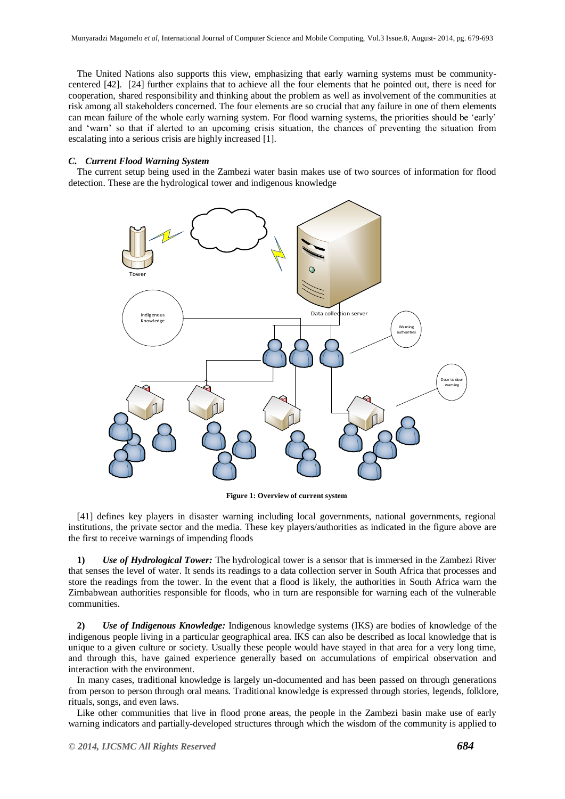The United Nations also supports this view, emphasizing that early warning systems must be communitycentered [42]. [24] further explains that to achieve all the four elements that he pointed out, there is need for cooperation, shared responsibility and thinking about the problem as well as involvement of the communities at risk among all stakeholders concerned. The four elements are so crucial that any failure in one of them elements can mean failure of the whole early warning system. For flood warning systems, the priorities should be 'early' and ‗warn' so that if alerted to an upcoming crisis situation, the chances of preventing the situation from escalating into a serious crisis are highly increased [1].

# *C. Current Flood Warning System*

The current setup being used in the Zambezi water basin makes use of two sources of information for flood detection. These are the hydrological tower and indigenous knowledge



**Figure 1: Overview of current system**

[41] defines key players in disaster warning including local governments, national governments, regional institutions, the private sector and the media. These key players/authorities as indicated in the figure above are the first to receive warnings of impending floods

**1)** *Use of Hydrological Tower:* The hydrological tower is a sensor that is immersed in the Zambezi River that senses the level of water. It sends its readings to a data collection server in South Africa that processes and store the readings from the tower. In the event that a flood is likely, the authorities in South Africa warn the Zimbabwean authorities responsible for floods, who in turn are responsible for warning each of the vulnerable communities.

**2)** *Use of Indigenous Knowledge:* Indigenous knowledge systems (IKS) are bodies of knowledge of the indigenous people living in a particular geographical area. IKS can also be described as local knowledge that is unique to a given culture or society. Usually these people would have stayed in that area for a very long time, and through this, have gained experience generally based on accumulations of empirical observation and interaction with the environment.

In many cases, traditional knowledge is largely un-documented and has been passed on through generations from person to person through oral means. Traditional knowledge is expressed through stories, legends, folklore, rituals, songs, and even laws.

Like other communities that live in flood prone areas, the people in the Zambezi basin make use of early warning indicators and partially-developed structures through which the wisdom of the community is applied to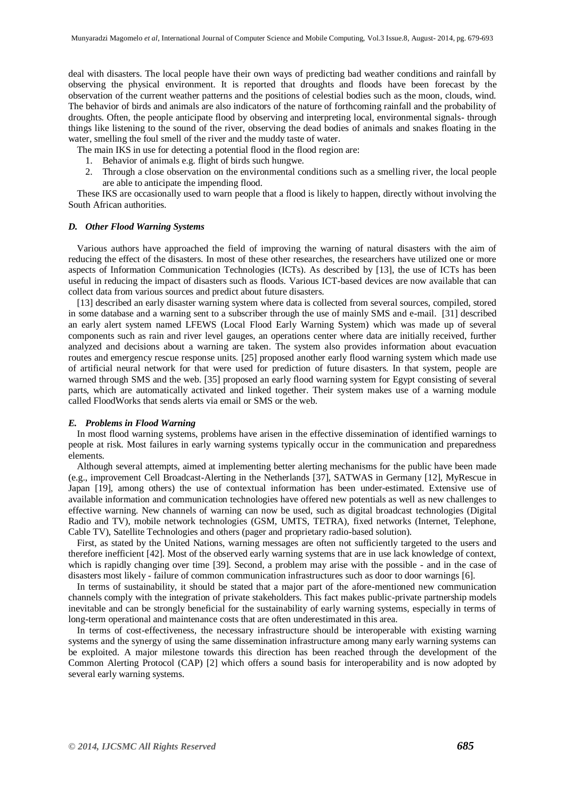deal with disasters. The local people have their own ways of predicting bad weather conditions and rainfall by observing the physical environment. It is reported that droughts and floods have been forecast by the observation of the current weather patterns and the positions of celestial bodies such as the moon, clouds, wind. The behavior of birds and animals are also indicators of the nature of forthcoming rainfall and the probability of droughts. Often, the people anticipate flood by observing and interpreting local, environmental signals- through things like listening to the sound of the river, observing the dead bodies of animals and snakes floating in the water, smelling the foul smell of the river and the muddy taste of water.

The main IKS in use for detecting a potential flood in the flood region are:

- 1. Behavior of animals e.g. flight of birds such hungwe.
- 2. Through a close observation on the environmental conditions such as a smelling river, the local people are able to anticipate the impending flood.

These IKS are occasionally used to warn people that a flood is likely to happen, directly without involving the South African authorities.

#### *D. Other Flood Warning Systems*

Various authors have approached the field of improving the warning of natural disasters with the aim of reducing the effect of the disasters. In most of these other researches, the researchers have utilized one or more aspects of Information Communication Technologies (ICTs). As described by [13], the use of ICTs has been useful in reducing the impact of disasters such as floods. Various ICT-based devices are now available that can collect data from various sources and predict about future disasters.

[13] described an early disaster warning system where data is collected from several sources, compiled, stored in some database and a warning sent to a subscriber through the use of mainly SMS and e-mail. [31] described an early alert system named LFEWS (Local Flood Early Warning System) which was made up of several components such as rain and river level gauges, an operations center where data are initially received, further analyzed and decisions about a warning are taken. The system also provides information about evacuation routes and emergency rescue response units. [25] proposed another early flood warning system which made use of artificial neural network for that were used for prediction of future disasters. In that system, people are warned through SMS and the web. [35] proposed an early flood warning system for Egypt consisting of several parts, which are automatically activated and linked together. Their system makes use of a warning module called FloodWorks that sends alerts via email or SMS or the web.

#### *E. Problems in Flood Warning*

In most flood warning systems, problems have arisen in the effective dissemination of identified warnings to people at risk. Most failures in early warning systems typically occur in the communication and preparedness elements.

Although several attempts, aimed at implementing better alerting mechanisms for the public have been made (e.g., improvement Cell Broadcast-Alerting in the Netherlands [37], SATWAS in Germany [12], MyRescue in Japan [19], among others) the use of contextual information has been under-estimated. Extensive use of available information and communication technologies have offered new potentials as well as new challenges to effective warning. New channels of warning can now be used, such as digital broadcast technologies (Digital Radio and TV), mobile network technologies (GSM, UMTS, TETRA), fixed networks (Internet, Telephone, Cable TV), Satellite Technologies and others (pager and proprietary radio-based solution).

First, as stated by the United Nations, warning messages are often not sufficiently targeted to the users and therefore inefficient [42]. Most of the observed early warning systems that are in use lack knowledge of context, which is rapidly changing over time [39]. Second, a problem may arise with the possible - and in the case of disasters most likely - failure of common communication infrastructures such as door to door warnings [6].

In terms of sustainability, it should be stated that a major part of the afore-mentioned new communication channels comply with the integration of private stakeholders. This fact makes public-private partnership models inevitable and can be strongly beneficial for the sustainability of early warning systems, especially in terms of long-term operational and maintenance costs that are often underestimated in this area.

In terms of cost-effectiveness, the necessary infrastructure should be interoperable with existing warning systems and the synergy of using the same dissemination infrastructure among many early warning systems can be exploited. A major milestone towards this direction has been reached through the development of the Common Alerting Protocol (CAP) [2] which offers a sound basis for interoperability and is now adopted by several early warning systems.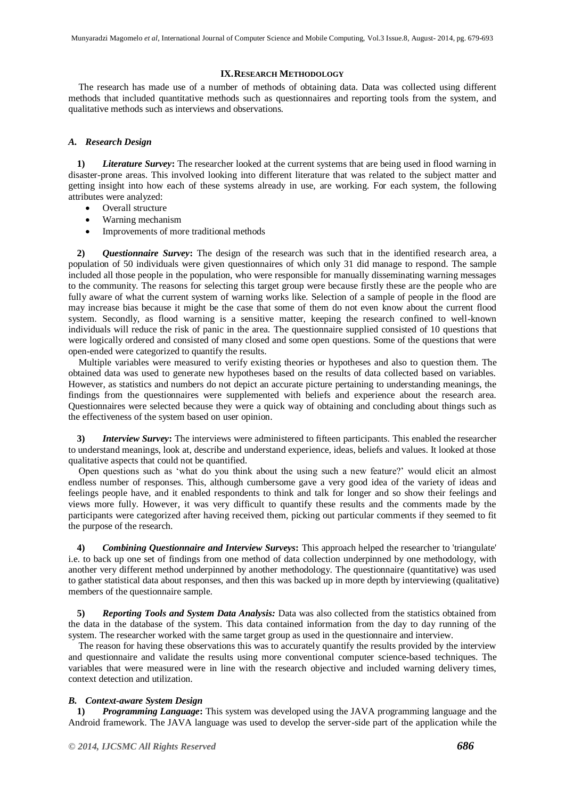## **IX.RESEARCH METHODOLOGY**

The research has made use of a number of methods of obtaining data. Data was collected using different methods that included quantitative methods such as questionnaires and reporting tools from the system, and qualitative methods such as interviews and observations.

# *A. Research Design*

**1)** *Literature Survey***:** The researcher looked at the current systems that are being used in flood warning in disaster-prone areas. This involved looking into different literature that was related to the subject matter and getting insight into how each of these systems already in use, are working. For each system, the following attributes were analyzed:

- Overall structure
- Warning mechanism
- Improvements of more traditional methods

**2)** *Questionnaire Survey***:** The design of the research was such that in the identified research area, a population of 50 individuals were given questionnaires of which only 31 did manage to respond. The sample included all those people in the population, who were responsible for manually disseminating warning messages to the community. The reasons for selecting this target group were because firstly these are the people who are fully aware of what the current system of warning works like. Selection of a sample of people in the flood are may increase bias because it might be the case that some of them do not even know about the current flood system. Secondly, as flood warning is a sensitive matter, keeping the research confined to well-known individuals will reduce the risk of panic in the area. The questionnaire supplied consisted of 10 questions that were logically ordered and consisted of many closed and some open questions. Some of the questions that were open-ended were categorized to quantify the results.

Multiple variables were measured to verify existing theories or hypotheses and also to question them. The obtained data was used to generate new hypotheses based on the results of data collected based on variables. However, as statistics and numbers do not depict an accurate picture pertaining to understanding meanings, the findings from the questionnaires were supplemented with beliefs and experience about the research area. Questionnaires were selected because they were a quick way of obtaining and concluding about things such as the effectiveness of the system based on user opinion.

**3)** *Interview Survey***:** The interviews were administered to fifteen participants. This enabled the researcher to understand meanings, look at, describe and understand experience, ideas, beliefs and values. It looked at those qualitative aspects that could not be quantified.

Open questions such as 'what do you think about the using such a new feature?' would elicit an almost endless number of responses. This, although cumbersome gave a very good idea of the variety of ideas and feelings people have, and it enabled respondents to think and talk for longer and so show their feelings and views more fully. However, it was very difficult to quantify these results and the comments made by the participants were categorized after having received them, picking out particular comments if they seemed to fit the purpose of the research.

**4)** *Combining Questionnaire and Interview Surveys***:** This approach helped the researcher to 'triangulate' i.e. to back up one set of findings from one method of data collection underpinned by one methodology, with another very different method underpinned by another methodology. The questionnaire (quantitative) was used to gather statistical data about responses, and then this was backed up in more depth by interviewing (qualitative) members of the questionnaire sample.

**5)** *Reporting Tools and System Data Analysis:* Data was also collected from the statistics obtained from the data in the database of the system. This data contained information from the day to day running of the system. The researcher worked with the same target group as used in the questionnaire and interview.

The reason for having these observations this was to accurately quantify the results provided by the interview and questionnaire and validate the results using more conventional computer science-based techniques. The variables that were measured were in line with the research objective and included warning delivery times, context detection and utilization.

# *B. Context-aware System Design*

**1)** *Programming Language***:** This system was developed using the JAVA programming language and the Android framework. The JAVA language was used to develop the server-side part of the application while the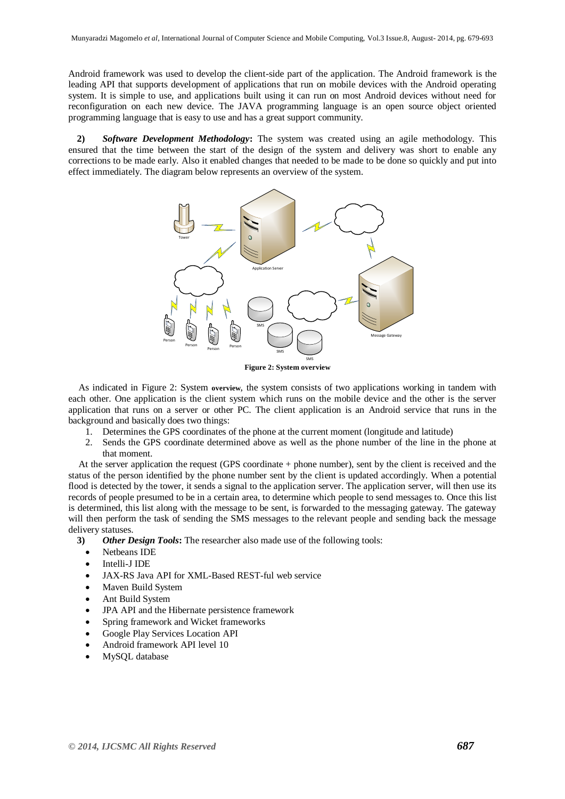Android framework was used to develop the client-side part of the application. The Android framework is the leading API that supports development of applications that run on mobile devices with the Android operating system. It is simple to use, and applications built using it can run on most Android devices without need for reconfiguration on each new device. The JAVA programming language is an open source object oriented programming language that is easy to use and has a great support community.

**2)** *Software Development Methodology***:** The system was created using an agile methodology. This ensured that the time between the start of the design of the system and delivery was short to enable any corrections to be made early. Also it enabled changes that needed to be made to be done so quickly and put into effect immediately. The diagram below represents an overview of the system.



**Figure 2: System overview**

<span id="page-8-0"></span>As indicated in [Figure 2:](#page-8-0) System **overview**, the system consists of two applications working in tandem with each other. One application is the client system which runs on the mobile device and the other is the server application that runs on a server or other PC. The client application is an Android service that runs in the background and basically does two things:

- 1. Determines the GPS coordinates of the phone at the current moment (longitude and latitude)
- 2. Sends the GPS coordinate determined above as well as the phone number of the line in the phone at that moment.

At the server application the request (GPS coordinate + phone number), sent by the client is received and the status of the person identified by the phone number sent by the client is updated accordingly. When a potential flood is detected by the tower, it sends a signal to the application server. The application server, will then use its records of people presumed to be in a certain area, to determine which people to send messages to. Once this list is determined, this list along with the message to be sent, is forwarded to the messaging gateway. The gateway will then perform the task of sending the SMS messages to the relevant people and sending back the message delivery statuses.

- **3)** *Other Design Tools***:** The researcher also made use of the following tools:
	- Netheans IDE
	- Intelli-J IDE
	- JAX-RS Java API for XML-Based REST-ful web service
	- Maven Build System
	- Ant Build System
	- JPA API and the Hibernate persistence framework
	- Spring framework and Wicket frameworks
	- Google Play Services Location API
	- Android framework API level 10
	- MySQL database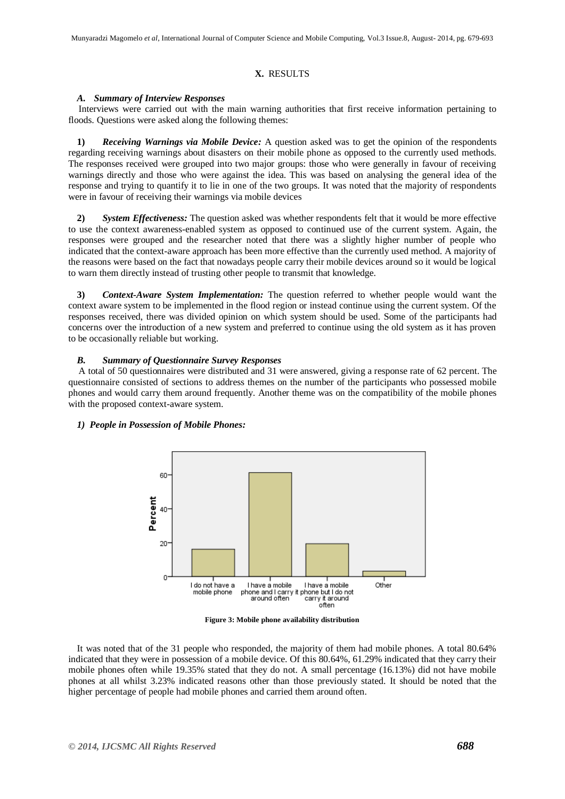# **X.** RESULTS

#### *A. Summary of Interview Responses*

Interviews were carried out with the main warning authorities that first receive information pertaining to floods. Questions were asked along the following themes:

**1)** *Receiving Warnings via Mobile Device:* A question asked was to get the opinion of the respondents regarding receiving warnings about disasters on their mobile phone as opposed to the currently used methods. The responses received were grouped into two major groups: those who were generally in favour of receiving warnings directly and those who were against the idea. This was based on analysing the general idea of the response and trying to quantify it to lie in one of the two groups. It was noted that the majority of respondents were in favour of receiving their warnings via mobile devices

**2)** *System Effectiveness:* The question asked was whether respondents felt that it would be more effective to use the context awareness-enabled system as opposed to continued use of the current system. Again, the responses were grouped and the researcher noted that there was a slightly higher number of people who indicated that the context-aware approach has been more effective than the currently used method. A majority of the reasons were based on the fact that nowadays people carry their mobile devices around so it would be logical to warn them directly instead of trusting other people to transmit that knowledge.

**3)** *Context-Aware System Implementation:* The question referred to whether people would want the context aware system to be implemented in the flood region or instead continue using the current system. Of the responses received, there was divided opinion on which system should be used. Some of the participants had concerns over the introduction of a new system and preferred to continue using the old system as it has proven to be occasionally reliable but working.

#### *B. Summary of Questionnaire Survey Responses*

A total of 50 questionnaires were distributed and 31 were answered, giving a response rate of 62 percent. The questionnaire consisted of sections to address themes on the number of the participants who possessed mobile phones and would carry them around frequently. Another theme was on the compatibility of the mobile phones with the proposed context-aware system.

#### *1) People in Possession of Mobile Phones:*



**Figure 3: Mobile phone availability distribution**

It was noted that of the 31 people who responded, the majority of them had mobile phones. A total 80.64% indicated that they were in possession of a mobile device. Of this 80.64%, 61.29% indicated that they carry their mobile phones often while 19.35% stated that they do not. A small percentage (16.13%) did not have mobile phones at all whilst 3.23% indicated reasons other than those previously stated. It should be noted that the higher percentage of people had mobile phones and carried them around often.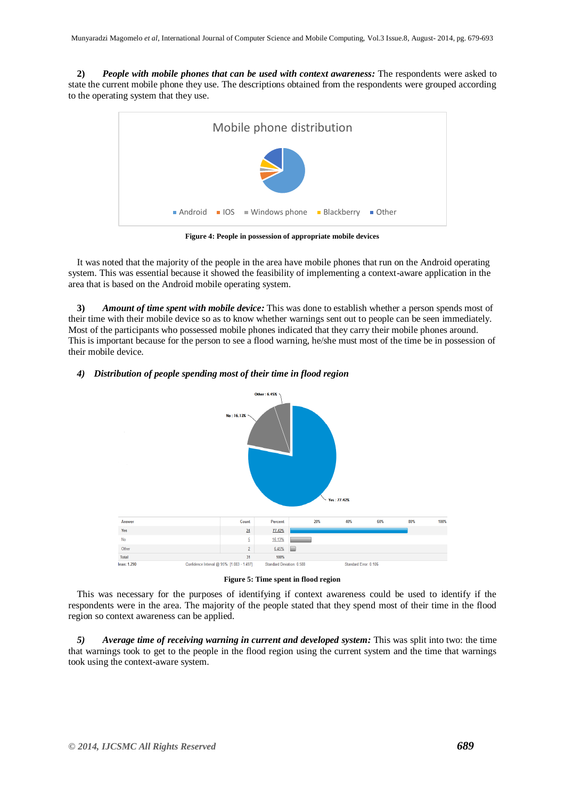**2)** *People with mobile phones that can be used with context awareness:* The respondents were asked to state the current mobile phone they use. The descriptions obtained from the respondents were grouped according to the operating system that they use.



**Figure 4: People in possession of appropriate mobile devices**

It was noted that the majority of the people in the area have mobile phones that run on the Android operating system. This was essential because it showed the feasibility of implementing a context-aware application in the area that is based on the Android mobile operating system.

**3)** *Amount of time spent with mobile device:* This was done to establish whether a person spends most of their time with their mobile device so as to know whether warnings sent out to people can be seen immediately. Most of the participants who possessed mobile phones indicated that they carry their mobile phones around. This is important because for the person to see a flood warning, he/she must most of the time be in possession of their mobile device.

# *4) Distribution of people spending most of their time in flood region*



**Figure 5: Time spent in flood region**

This was necessary for the purposes of identifying if context awareness could be used to identify if the respondents were in the area. The majority of the people stated that they spend most of their time in the flood region so context awareness can be applied.

*5) Average time of receiving warning in current and developed system:* This was split into two: the time that warnings took to get to the people in the flood region using the current system and the time that warnings took using the context-aware system.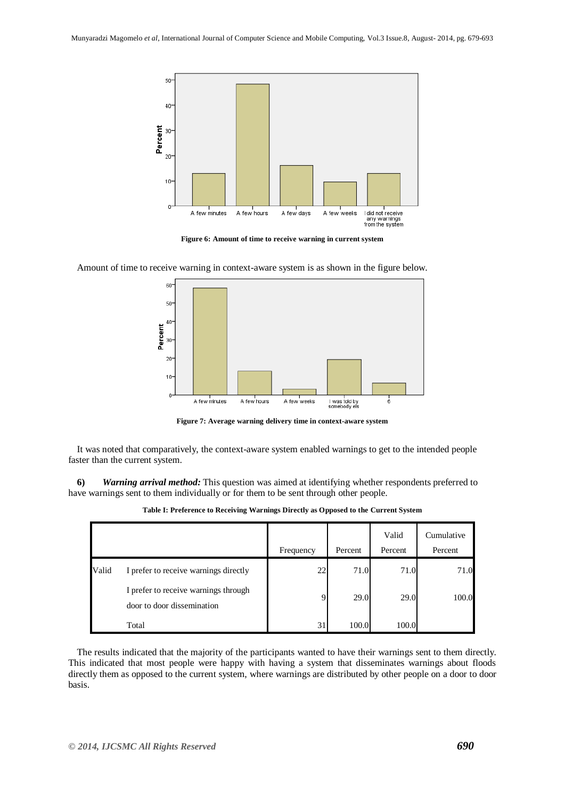

**Figure 6: Amount of time to receive warning in current system**



Amount of time to receive warning in context-aware system is as shown in the figure below.

**Figure 7: Average warning delivery time in context-aware system**

It was noted that comparatively, the context-aware system enabled warnings to get to the intended people faster than the current system.

**6)** *Warning arrival method:* This question was aimed at identifying whether respondents preferred to have warnings sent to them individually or for them to be sent through other people.

|       |                                                                    | Frequency | Percent | Valid<br>Percent | Cumulative<br>Percent |
|-------|--------------------------------------------------------------------|-----------|---------|------------------|-----------------------|
| Valid | I prefer to receive warnings directly                              | 22        | 71.0    | 71.0             | 71.0                  |
|       | I prefer to receive warnings through<br>door to door dissemination |           | 29.0    | 29.0             | 100.0                 |
|       | Total                                                              | 31        | 100.0   | 100.0            |                       |

**Table I: Preference to Receiving Warnings Directly as Opposed to the Current System**

The results indicated that the majority of the participants wanted to have their warnings sent to them directly. This indicated that most people were happy with having a system that disseminates warnings about floods directly them as opposed to the current system, where warnings are distributed by other people on a door to door basis.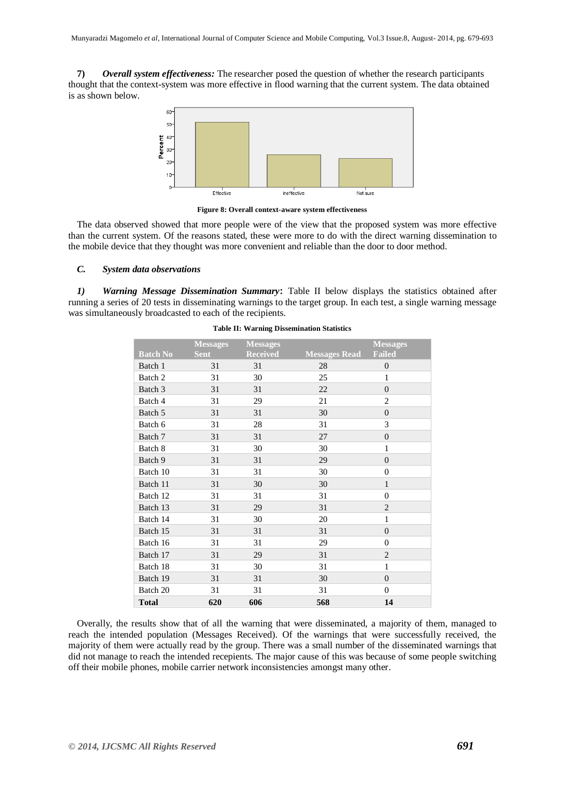**7)** *Overall system effectiveness:* The researcher posed the question of whether the research participants thought that the context-system was more effective in flood warning that the current system. The data obtained is as shown below.



**Figure 8: Overall context-aware system effectiveness**

The data observed showed that more people were of the view that the proposed system was more effective than the current system. Of the reasons stated, these were more to do with the direct warning dissemination to the mobile device that they thought was more convenient and reliable than the door to door method.

## *C. System data observations*

*1) Warning Message Dissemination Summary***:** Table II below displays the statistics obtained after running a series of 20 tests in disseminating warnings to the target group. In each test, a single warning message was simultaneously broadcasted to each of the recipients.

|                 | <b>Messages</b> | <b>Messages</b> |                      | <b>Messages</b> |
|-----------------|-----------------|-----------------|----------------------|-----------------|
| <b>Batch No</b> | <b>Sent</b>     | <b>Received</b> | <b>Messages Read</b> | <b>Failed</b>   |
| Batch 1         | 31              | 31              | 28                   | $\overline{0}$  |
| Batch 2         | 31              | 30              | 25                   | 1               |
| Batch 3         | 31              | 31              | 22                   | $\overline{0}$  |
| Batch 4         | 31              | 29              | 21                   | 2               |
| Batch 5         | 31              | 31              | 30                   | $\overline{0}$  |
| Batch 6         | 31              | 28              | 31                   | 3               |
| Batch 7         | 31              | 31              | 27                   | $\Omega$        |
| Batch 8         | 31              | 30              | 30                   | $\mathbf{1}$    |
| Batch 9         | 31              | 31              | 29                   | $\overline{0}$  |
| Batch 10        | 31              | 31              | 30                   | $\Omega$        |
| Batch 11        | 31              | 30              | 30                   | $\mathbf{1}$    |
| Batch 12        | 31              | 31              | 31                   | $\Omega$        |
| Batch 13        | 31              | 29              | 31                   | 2               |
| Batch 14        | 31              | 30              | 20                   | $\mathbf{1}$    |
| Batch 15        | 31              | 31              | 31                   | $\overline{0}$  |
| Batch 16        | 31              | 31              | 29                   | $\Omega$        |
| Batch 17        | 31              | 29              | 31                   | 2               |
| Batch 18        | 31              | 30              | 31                   | $\mathbf{1}$    |
| Batch 19        | 31              | 31              | 30                   | $\overline{0}$  |
| Batch 20        | 31              | 31              | 31                   | $\overline{0}$  |
| <b>Total</b>    | 620             | 606             | 568                  | 14              |

#### **Table II: Warning Dissemination Statistics**

Overally, the results show that of all the warning that were disseminated, a majority of them, managed to reach the intended population (Messages Received). Of the warnings that were successfully received, the majority of them were actually read by the group. There was a small number of the disseminated warnings that did not manage to reach the intended recepients. The major cause of this was because of some people switching off their mobile phones, mobile carrier network inconsistencies amongst many other.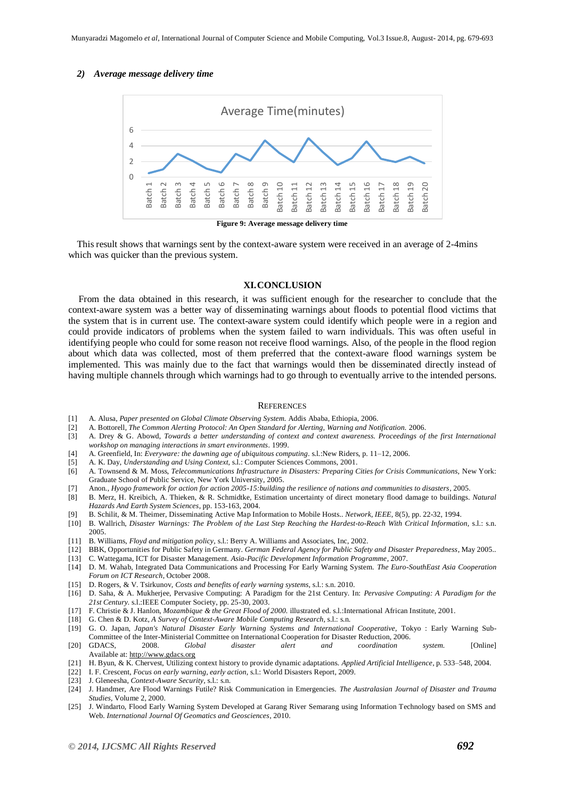#### *2) Average message delivery time*



This result shows that warnings sent by the context-aware system were received in an average of 2-4mins which was quicker than the previous system.

# **XI.CONCLUSION**

From the data obtained in this research, it was sufficient enough for the researcher to conclude that the context-aware system was a better way of disseminating warnings about floods to potential flood victims that the system that is in current use. The context-aware system could identify which people were in a region and could provide indicators of problems when the system failed to warn individuals. This was often useful in identifying people who could for some reason not receive flood warnings. Also, of the people in the flood region about which data was collected, most of them preferred that the context-aware flood warnings system be implemented. This was mainly due to the fact that warnings would then be disseminated directly instead of having multiple channels through which warnings had to go through to eventually arrive to the intended persons.

#### **REFERENCES**

- [1] A. Alusa, *Paper presented on Global Climate Observing System.* Addis Ababa, Ethiopia, 2006.
- [2] A. Bottorell, *The Common Alerting Protocol: An Open Standard for Alerting, Warning and Notification.* 2006.
- [3] A. Drey & G. Abowd, *Towards a better understanding of context and context awareness. Proceedings of the first International workshop on managing interactions in smart environments.* 1999.
- [4] A. Greenfield, In: *Everyware: the dawning age of ubiquitous computing.* s.l.:New Riders, p. 11–12, 2006.
- [5] A. K. Day, *Understanding and Using Context,* s.l.: Computer Sciences Commons, 2001.
- [6] A. Townsend & M. Moss, *Telecommunications Infrastructure in Disasters: Preparing Cities for Crisis Communications*, New York: Graduate School of Public Service, New York University, 2005.
- [7] Anon., *Hyogo framework for action for action 2005-15:building the resilience of nations and communities to disasters,* 2005.
- [8] B. Merz, H. Kreibich, A. Thieken, & R. Schmidtke, Estimation uncertainty of direct monetary flood damage to buildings. *Natural Hazards And Earth System Sciences*, pp. 153-163, 2004.
- [9] B. Schilit, & M. Theimer, Disseminating Active Map Information to Mobile Hosts.. *Network, IEEE,* 8(5), pp. 22-32, 1994.
- [10] B. Wallrich, *Disaster Warnings: The Problem of the Last Step Reaching the Hardest-to-Reach With Critical Information*, s.l.: s.n. 2005.
- [11] B. Williams, *Floyd and mitigation policy,* s.l.: Berry A. Williams and Associates, Inc, 2002.
- [12] BBK, Opportunities for Public Safety in Germany. *German Federal Agency for Public Safety and Disaster Preparedness*, May 2005..
- [13] C. Wattegama, ICT for Disaster Management. *Asia-Pacific Development Information Programme*, 2007.
- [14] D. M. Wahab, Integrated Data Communications and Processing For Early Warning System. *The Euro-SouthEast Asia Cooperation Forum on ICT Research*, October 2008.
- [15] D. Rogers, & V. Tsirkunov, *Costs and benefits of early warning systems,* s.l.: s.n. 2010.
- [16] D. Saha, & A. Mukherjee, Pervasive Computing: A Paradigm for the 21st Century. In: *Pervasive Computing: A Paradigm for the 21st Century.* s.l.:IEEE Computer Society, pp. 25-30, 2003.
- [17] F. Christie & J. Hanlon, *Mozambique & the Great Flood of 2000.* illustrated ed. s.l.:International African Institute, 2001.
- [18] G. Chen & D. Kotz, *A Survey of Context-Aware Mobile Computing Research,* s.l.: s.n.
- [19] G. O. Japan, Japan's Natural Disaster Early Warning Systems and International Cooperative, Tokyo : Early Warning Sub-Committee of the Inter-Ministerial Committee on International Cooperation for Disaster Reduction, 2006.
- [20] GDACS, 2008. *Global disaster alert and coordination system.* [Online] Available at: http://www.gdacs.org
- [21] H. Byun, & K. Chervest, Utilizing context history to provide dynamic adaptations. *Applied Artificial Intelligence*, p. 533–548, 2004.
- [22] I. F. Crescent, *Focus on early warning, early action,* s.l.: World Disasters Report, 2009.
- [23] J. Gleneesha, *Context-Aware Security,* s.l.: s.n.
- [24] J. Handmer, Are Flood Warnings Futile? Risk Communication in Emergencies. *The Australasian Journal of Disaster and Trauma Studies,* Volume 2, 2000.
- [25] J. Windarto, Flood Early Warning System Developed at Garang River Semarang using Information Technology based on SMS and Web. *International Journal Of Geomatics and Geosciences*, 2010.